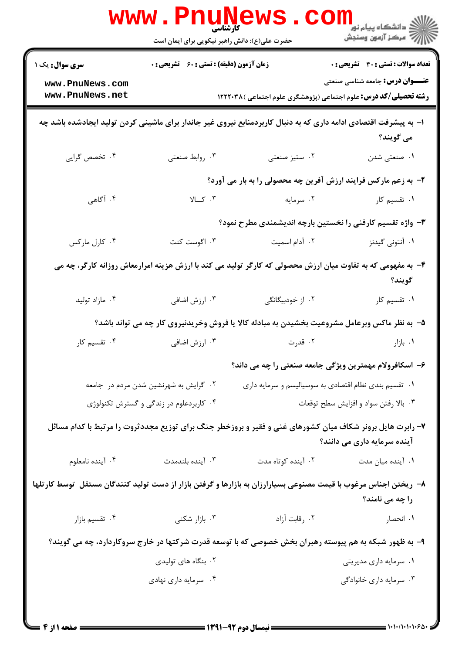|                                                                                                                                     | <b>www.Pnur</b><br>کا, شناسہ<br>حضرت علی(ع): دانش راهبر نیکویی برای ایمان است                  |                    | ر دانشڪاه پيام نور ■<br>// مرکز آزمون وسنڊش                                                                                              |  |  |  |
|-------------------------------------------------------------------------------------------------------------------------------------|------------------------------------------------------------------------------------------------|--------------------|------------------------------------------------------------------------------------------------------------------------------------------|--|--|--|
| <b>سری سوال :</b> یک ۱                                                                                                              | <b>زمان آزمون (دقیقه) : تستی : 60 ٪ تشریحی : 0</b>                                             |                    | <b>تعداد سوالات : تستی : 30 ٪ تشریحی : 0</b>                                                                                             |  |  |  |
| www.PnuNews.com<br>www.PnuNews.net                                                                                                  |                                                                                                |                    | <b>عنـــوان درس:</b> جامعه شناسی صنعتی<br><b>رشته تحصیلی/کد درس:</b> علوم اجتماعی (پژوهشگری علوم اجتماعی )۱۲۲۲۰۳۸                        |  |  |  |
| ا– به پیشرفت اقتصادی ادامه داری که به دنبال کاربردمنابع نیروی غیر جاندار برای ماشینی کردن تولید ایجادشده باشد چه<br>مي گويند؟       |                                                                                                |                    |                                                                                                                                          |  |  |  |
| ۰۴ تخصص گرایی                                                                                                                       | ۰۳ روابط صنعتی                                                                                 | ۰۲ ستيز صنعتي      | ۰۱ صنعتي شدن                                                                                                                             |  |  |  |
|                                                                                                                                     | ۲- به زعم مارکس فرایند ارزش آفرین چه محصولی را به بار می آورد؟                                 |                    |                                                                                                                                          |  |  |  |
| ۰۴ آگاهی                                                                                                                            | $\mathcal{V} \cup \mathcal{S}$ . $\mathcal{V}$                                                 | ۰۲ سرمایه          | ۰۱ تقسیم کار                                                                                                                             |  |  |  |
|                                                                                                                                     | ۳- واژه تقسیم کارفنی را نخستین بارچه اندیشمندی مطرح نمود؟                                      |                    |                                                                                                                                          |  |  |  |
| ۰۴ کارل مارکس                                                                                                                       | ۰۳ اگوست کنت                                                                                   | ۰۲ آدام اسمیت      | ۰۱ آنتونی گیدنز                                                                                                                          |  |  |  |
| ۴- به مفهومی که به تفاوت میان ارزش محصولی که کارگر تولید می کند با ارزش هزینه امرارمعاش روزانه کارگر، چه می<br>گويند؟               |                                                                                                |                    |                                                                                                                                          |  |  |  |
| ۰۴ مازاد توليد                                                                                                                      | ۰۳ ارزش اضافی                                                                                  | ۰۲ از خودبیگانگی   | ۰۱ تقسیم کار                                                                                                                             |  |  |  |
|                                                                                                                                     |                                                                                                |                    | ۵– به نظر ماکس وبرعامل مشروعیت بخشیدن به مبادله کالا یا فروش وخریدنیروی کار چه می تواند باشد؟                                            |  |  |  |
| ۰۴ تقسیم کار                                                                                                                        | ۰۳ ارزش اضافی                                                                                  | ۰۲ قدرت            | ۰۱ بازار                                                                                                                                 |  |  |  |
|                                                                                                                                     |                                                                                                |                    | ۶– اسکافرولام مهمترین ویژگی جامعه صنعتی را چه می داند؟                                                                                   |  |  |  |
|                                                                                                                                     | ۰۱ تقسیم بندی نظام اقتصادی به سوسیالیسم و سرمایه داری<br>۰۲ گرایش به شهرنشین شدن مردم در جامعه |                    |                                                                                                                                          |  |  |  |
|                                                                                                                                     | ۰۴ کاربردعلوم در زندگی و گسترش تکنولوژی                                                        |                    | ۰۳ بالا رفتن سواد و افزایش سطح توقعات                                                                                                    |  |  |  |
|                                                                                                                                     |                                                                                                |                    | ۷- رابرت هایل برونر شکاف میان کشورهای غنی و فقیر و بروزخطر جنگ برای توزیع مجددثروت را مرتبط با کدام مسائل<br>آینده سرمایه داری می دانند؟ |  |  |  |
| ۰۴ آينده نامعلوم                                                                                                                    | ۰۳ آینده بلندمدت                                                                               | ۰۲ آینده کوتاه مدت | ۰۱ آینده میان مدت                                                                                                                        |  |  |  |
| ۸– ریختن اجناس مرغوب با قیمت مصنوعی بسیارارزان به بازارها و گرفتن بازار از دست تولید کنندگان مستقل  توسط کارتلها<br>را چه می نامند؟ |                                                                                                |                    |                                                                                                                                          |  |  |  |
| ۰۴ تقسیم بازار                                                                                                                      | ۰۳ بازار شکنی                                                                                  | ٠٢ رقابت آزاد      | ۰۱ انحصار                                                                                                                                |  |  |  |
| ۹- به ظهور شبکه به هم پیوسته رهبران بخش خصوصی که با توسعه قدرت شرکتها در خارج سروکاردارد، چه می گویند؟                              |                                                                                                |                    |                                                                                                                                          |  |  |  |
|                                                                                                                                     | ۰۲ بنگاه های تولیدی                                                                            |                    | ۰۱ سرمایه داری مدیریتی                                                                                                                   |  |  |  |
|                                                                                                                                     | ۰۴ سرمایه داری نهادی                                                                           |                    | ۰۳ سرمایه داری خانوادگی                                                                                                                  |  |  |  |
|                                                                                                                                     |                                                                                                |                    |                                                                                                                                          |  |  |  |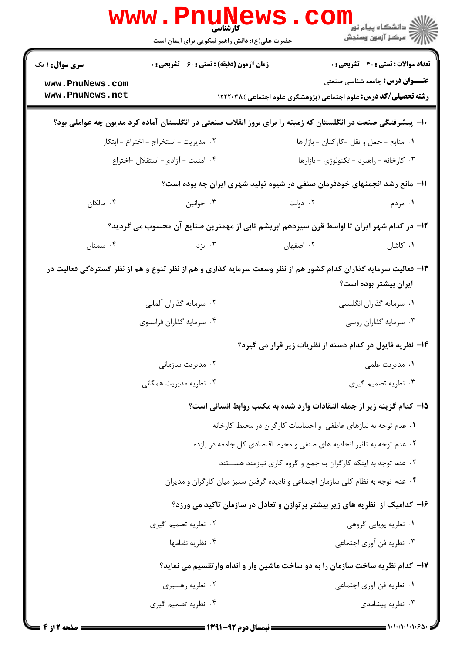| <b>WWW</b>                                                                    | <b>کار شناسی</b><br>حضرت علی(ع): دانش راهبر نیکویی برای ایمان است                                             |                                                                 | ڪ دانشڪاه پيا <sub>م</sub> نور<br>۾ مرکز آزمون وسنجش                                                              |  |
|-------------------------------------------------------------------------------|---------------------------------------------------------------------------------------------------------------|-----------------------------------------------------------------|-------------------------------------------------------------------------------------------------------------------|--|
| <b>سری سوال :</b> ۱ یک                                                        | <b>زمان آزمون (دقیقه) : تستی : 60 ٪ تشریحی : 0</b>                                                            |                                                                 | تعداد سوالات : تستى : 30 قشريحى : 0                                                                               |  |
| www.PnuNews.com<br>www.PnuNews.net                                            |                                                                                                               |                                                                 | <b>عنـــوان درس:</b> جامعه شناسی صنعتی<br><b>رشته تحصیلی/کد درس:</b> علوم اجتماعی (پژوهشگری علوم اجتماعی )۱۲۲۲۰۳۸ |  |
|                                                                               | ∙۱− پیشرفتگی صنعت در انگلستان که زمینه را برای بروز انقلاب صنعتی در انگلستان آماده کرد مدیون چه عواملی بود؟   |                                                                 |                                                                                                                   |  |
|                                                                               | ٠١ منابع - حمل و نقل -كاركنان - بازارها<br>۰۲ مدیریت - استخراج - اختراع - ابتکار                              |                                                                 |                                                                                                                   |  |
|                                                                               | ۰۴ امنیت - آزادی- استقلال -اختراع                                                                             |                                                                 | ۰۳ کارخانه - راهبرد - تکنولوژی - بازارها                                                                          |  |
|                                                                               | 11- مانع رشد انجمنهای خودفرمان صنفی در شیوه تولید شهری ایران چه بوده است؟                                     |                                                                 |                                                                                                                   |  |
| ۰۴ مالکان                                                                     | ۰۳ خوانین                                                                                                     | ۰۲ دولت                                                         | ۱. مردم                                                                                                           |  |
|                                                                               | ۱۲– در کدام شهر ایران تا اواسط قرن سیزدهم ابریشم تابی از مهمترین صنایع آن محسوب می گردید؟                     |                                                                 |                                                                                                                   |  |
| ۰۴ سمنان                                                                      | ۰۳ یزد                                                                                                        | ۰۲ اصفهان                                                       | ۰۱ کاشان                                                                                                          |  |
|                                                                               | ۱۳- فعالیت سرمایه گذاران کدام کشور هم از نظر وسعت سرمایه گذاری و هم از نظر تنوع و هم از نظر گستردگی فعالیت در |                                                                 | ایران بیشتر بوده است؟                                                                                             |  |
|                                                                               | ۰۲ سرمایه گذاران ألمانی                                                                                       |                                                                 | ۰۱ سرمایه گذاران انگلیسی                                                                                          |  |
|                                                                               | ۰۴ سرمایه گذاران فرانسوی                                                                                      |                                                                 | ۰۳ سرمایه گذاران روسی                                                                                             |  |
|                                                                               |                                                                                                               |                                                                 | ۱۴– نظریه فایول در کدام دسته از نظریات زیر قرار می گیرد؟                                                          |  |
|                                                                               | ۰۲ مدیریت سازمانی                                                                                             |                                                                 | ٠١ مديريت علمي                                                                                                    |  |
|                                                                               | ۰۴ نظریه مدیریت همگان <sub>ی</sub>                                                                            |                                                                 | ۰۳ نظریه تصمیم گیری                                                                                               |  |
|                                                                               | ۱۵- کدام گزینه زیر از جمله انتقادات وارد شده به مکتب روابط انسانی است؟                                        |                                                                 |                                                                                                                   |  |
|                                                                               | ۰۱ عدم توجه به نیازهای عاطفی و احساسات کارگران در محیط کارخانه                                                |                                                                 |                                                                                                                   |  |
|                                                                               | ۰۲ عدم توجه به تاثیر اتحادیه های صنفی و محیط اقتصادی کل جامعه در بازده                                        |                                                                 |                                                                                                                   |  |
|                                                                               |                                                                                                               | ۰۳ عدم توجه به اینکه کارگران به جمع و گروه کاری نیازمند هســتند |                                                                                                                   |  |
|                                                                               | ۰۴ عدم توجه به نظام کلی سازمان اجتماعی و نادیده گرفتن ستیز میان کارگران و مدیران                              |                                                                 |                                                                                                                   |  |
|                                                                               | ۱۶- کدامیک از نظریه های زیر بیشتر برتوازن و تعادل در سازمان تاکید می ورزد؟                                    |                                                                 |                                                                                                                   |  |
|                                                                               | ۰۲ نظریه تصمیم گیری                                                                                           |                                                                 | ۰۱ نظریه پویایی گروهی                                                                                             |  |
|                                                                               | ۰۴ نظریه نظامها                                                                                               |                                                                 | ۰۳ نظریه فن آوری اجتماعی                                                                                          |  |
| ۱۷– کدام نظریه ساخت سازمان را به دو ساخت ماشین وار و اندام وارتقسیم می نماید؟ |                                                                                                               |                                                                 |                                                                                                                   |  |
|                                                                               | ۰۲ نظریه رهــــبري                                                                                            |                                                                 | ٠١. نظريه فن أورى اجتماعي                                                                                         |  |
|                                                                               | ۰۴ نظریه تصمیم گیری                                                                                           |                                                                 | ۰۳ نظریه پیشامدی                                                                                                  |  |
|                                                                               |                                                                                                               |                                                                 |                                                                                                                   |  |

صفحه 2 از 4 =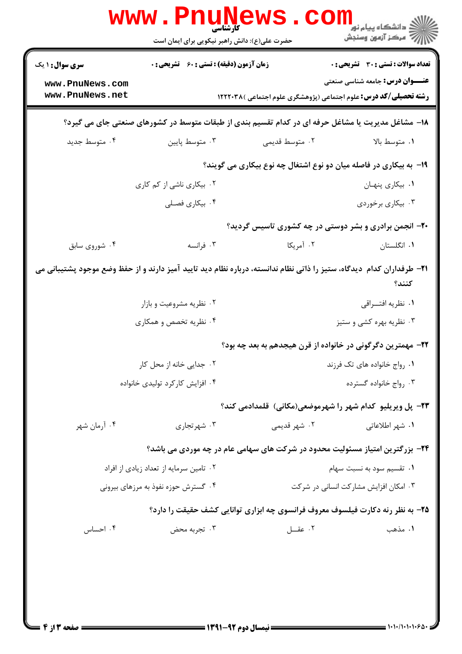|                                    | WWW . PI                                           | <b>ELULLY T</b><br>حضرت علی(ع): دانش راهبر نیکویی برای ایمان است | ڪ دانشڪاه پيا <sub>م</sub> نور ■<br>۾ مرکز آزمون وسنجش                                                                                |  |
|------------------------------------|----------------------------------------------------|------------------------------------------------------------------|---------------------------------------------------------------------------------------------------------------------------------------|--|
| <b>سری سوال : ۱ یک</b>             | <b>زمان آزمون (دقیقه) : تستی : 60 ٪ تشریحی : 0</b> |                                                                  | تعداد سوالات : تستي : 30 ٪ تشريحي : 0                                                                                                 |  |
| www.PnuNews.com<br>www.PnuNews.net |                                                    |                                                                  | <b>عنـــوان درس:</b> جامعه شناسی صنعتی<br><b>رشته تحصیلی/کد درس:</b> علوم اجتماعی (پژوهشگری علوم اجتماعی )۱۲۲۲۰۳۸                     |  |
|                                    |                                                    |                                                                  | ۱۸- مشاغل مدیریت یا مشاغل حرفه ای در کدام تقسیم بندی از طبقات متوسط در کشورهای صنعتی جای می گیرد؟                                     |  |
| ۰۴ متوسط جديد                      | ۰۳ متوسط پايين                                     | ۰۲ متوسط قدیمی                                                   | ٠١ متوسط بالا                                                                                                                         |  |
|                                    |                                                    |                                                                  | ۱۹- به بیکاری در فاصله میان دو نوع اشتغال چه نوع بیکاری می گویند؟                                                                     |  |
|                                    | ۰۲ بیکاری ناشی از کم کاری                          |                                                                  | ٠١. بيكارى پنهان                                                                                                                      |  |
|                                    | ۰۴ بیکاری فصـلی                                    |                                                                  | ۰۳ بیکاری برخوردی                                                                                                                     |  |
|                                    |                                                    |                                                                  | <b>۲۰</b> - انجمن برادری و بشر دوستی در چه کشوری تاسیس گردید؟                                                                         |  |
| ۰۴ شوروي سابق                      | ۰۳ فرانسه                                          | ۰۲ آمریکا                                                        | ٠١. انگلستان                                                                                                                          |  |
|                                    |                                                    |                                                                  | <b>۲۱</b> – طرفداران کدام دیدگاه، ستیز را ذاتی نظام ندانسته، درباره نظام دید تایید آمیز دارند و از حفظ وضع موجود پشتیبانی می<br>كنند؟ |  |
|                                    | ۰۲ نظریه مشروعیت و بازار                           |                                                                  | ۰۱ نظریه افتـــراقي                                                                                                                   |  |
|                                    | ۰۴ نظریه تخصص و همکاری                             |                                                                  | ۰۳ نظریه بهره کشی و ستیز                                                                                                              |  |
|                                    |                                                    |                                                                  | ۲۲– مهمترین دگرگونی در خانواده از قرن هیجدهم به بعد چه بود؟                                                                           |  |
| ۰۲ جدایی خانه از محل کار           |                                                    |                                                                  | ۰۱ رواج خانواده های تک فرزند                                                                                                          |  |
|                                    | ۰۴ افزایش کارکرد تولیدی خانواده                    |                                                                  | ۰۳ رواج خانواده گسترده                                                                                                                |  |
|                                    |                                                    |                                                                  | ۲۳- پل ویریلیو کدام شهر را شهرموضعی(مکانی) قلمدادمی کند؟                                                                              |  |
| ۰۴ آرمان شهر                       | ۰۳ شهر تجاری                                       | ۰۲ شهر قدیمی                                                     | ۰۱ شهر اطلاعات <sub>ی</sub>                                                                                                           |  |
|                                    |                                                    |                                                                  | ۲۴- بزرگترین امتیاز مسئولیت محدود در شرکت های سهامی عام در چه موردی می باشد؟                                                          |  |
|                                    | ۰۲ تامین سرمایه از تعداد زیادی از افراد            |                                                                  | ۰۱ تقسیم سود به نسبت سهام                                                                                                             |  |
|                                    | ۰۴ گسترش حوزه نفوذ به مرزهای بیرونی                |                                                                  | ۰۳ امکان افزایش مشارکت انسانی در شرکت                                                                                                 |  |
|                                    |                                                    |                                                                  | ۲۵- به نظر رنه دکارت فیلسوف معروف فرانسوی چه ابزاری توانایی کشف حقیقت را دارد؟                                                        |  |
| ۰۴ احساس                           | ۰۳ تجربه محض                                       | ۰۲ عقـــل                                                        | ۰۱ مذهب                                                                                                                               |  |
|                                    |                                                    |                                                                  |                                                                                                                                       |  |
|                                    |                                                    |                                                                  |                                                                                                                                       |  |
|                                    |                                                    |                                                                  |                                                                                                                                       |  |
|                                    |                                                    |                                                                  |                                                                                                                                       |  |
| = صفحه 13 j                        |                                                    |                                                                  |                                                                                                                                       |  |